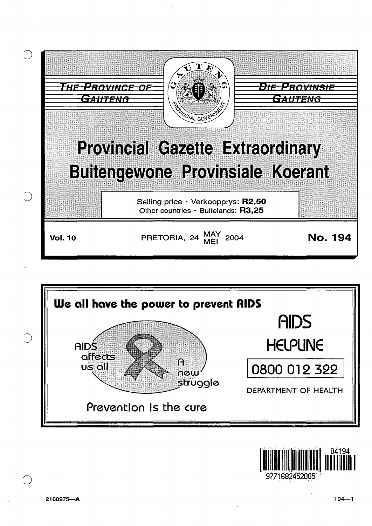